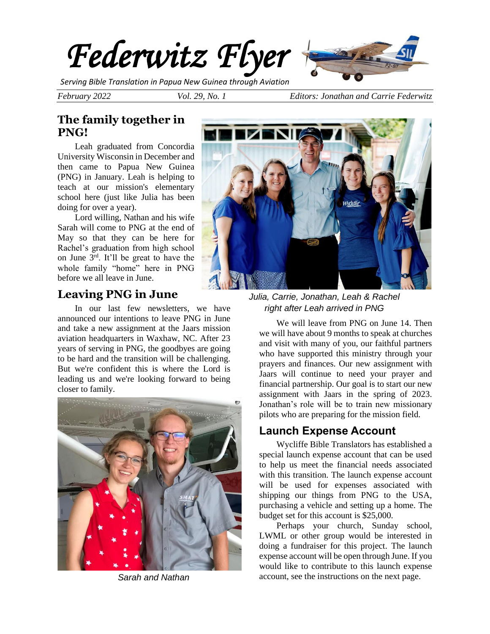

*Serving Bible Translation in Papua New Guinea through Aviation*

*February 2022 Vol. 29, No. 1 Editors: Jonathan and Carrie Federwitz*

# **The family together in PNG!**

Leah graduated from Concordia University Wisconsin in December and then came to Papua New Guinea (PNG) in January. Leah is helping to teach at our mission's elementary school here (just like Julia has been doing for over a year).

Lord willing, Nathan and his wife Sarah will come to PNG at the end of May so that they can be here for Rachel's graduation from high school on June 3rd. It'll be great to have the whole family "home" here in PNG before we all leave in June.

## **Leaving PNG in June**

In our last few newsletters, we have announced our intentions to leave PNG in June and take a new assignment at the Jaars mission aviation headquarters in Waxhaw, NC. After 23 years of serving in PNG, the goodbyes are going to be hard and the transition will be challenging. But we're confident this is where the Lord is leading us and we're looking forward to being closer to family.





*Julia, Carrie, Jonathan, Leah & Rachel right after Leah arrived in PNG*

We will leave from PNG on June 14. Then we will have about 9 months to speak at churches and visit with many of you, our faithful partners who have supported this ministry through your prayers and finances. Our new assignment with Jaars will continue to need your prayer and financial partnership. Our goal is to start our new assignment with Jaars in the spring of 2023. Jonathan's role will be to train new missionary pilots who are preparing for the mission field.

# **Launch Expense Account**

Wycliffe Bible Translators has established a special launch expense account that can be used to help us meet the financial needs associated with this transition. The launch expense account will be used for expenses associated with shipping our things from PNG to the USA, purchasing a vehicle and setting up a home. The budget set for this account is \$25,000.

Perhaps your church, Sunday school, LWML or other group would be interested in doing a fundraiser for this project. The launch expense account will be open through June. If you would like to contribute to this launch expense *Sarah and Nathan* account, see the instructions on the next page.